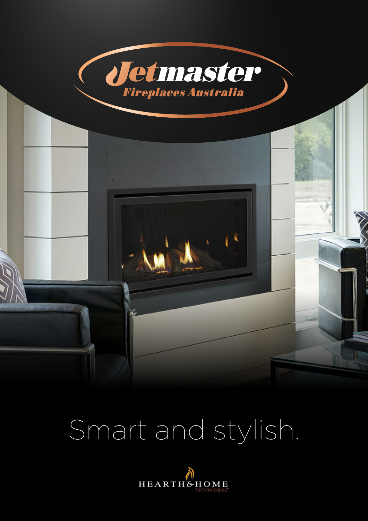

# Smart and stylish.

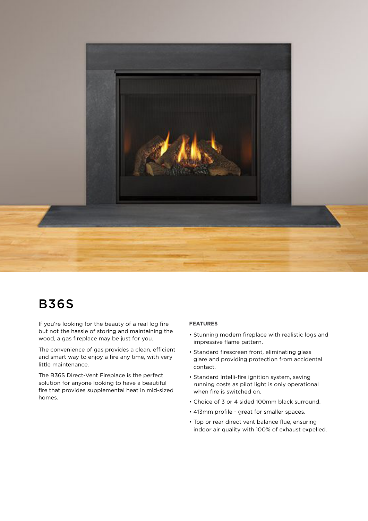

## B36S

If you're looking for the beauty of a real log fire but not the hassle of storing and maintaining the wood, a gas fireplace may be just for you.

The convenience of gas provides a clean, efficient and smart way to enjoy a fire any time, with very little maintenance.

The B36S Direct-Vent Fireplace is the perfect solution for anyone looking to have a beautiful fire that provides supplemental heat in mid-sized homes.

#### **FEATURES**

- Stunning modern fireplace with realistic logs and impressive flame pattern.
- Standard firescreen front, eliminating glass glare and providing protection from accidental contact.
- Standard Intelli-fire ignition system, saving running costs as pilot light is only operational when fire is switched on.
- Choice of 3 or 4 sided 100mm black surround.
- 413mm profile great for smaller spaces.
- Top or rear direct vent balance flue, ensuring indoor air quality with 100% of exhaust expelled.